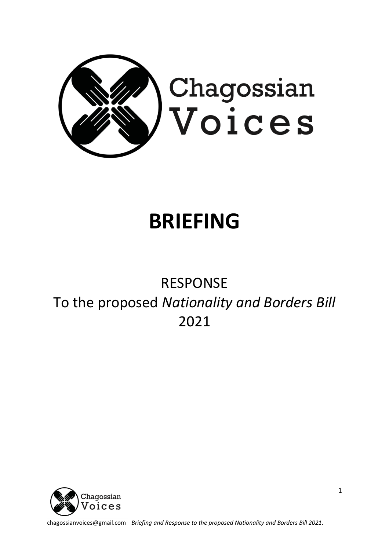

# **BRIEFING**

## RESPONSE To the proposed *Nationality and Borders Bill* 2021



chagossianvoices@gmail.com *Briefing and Response to the proposed Nationality and Borders Bill 2021.*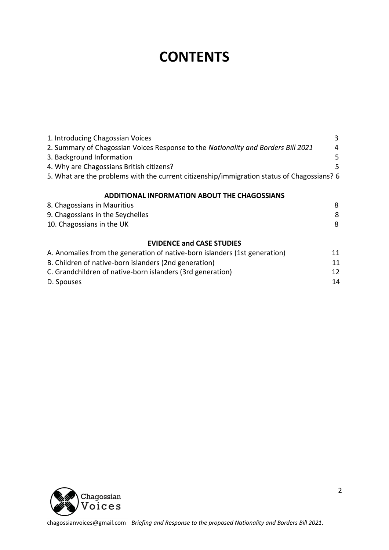## **CONTENTS**

| 1. Introducing Chagossian Voices                                                           | 3  |
|--------------------------------------------------------------------------------------------|----|
| 2. Summary of Chagossian Voices Response to the Nationality and Borders Bill 2021          | 4  |
| 3. Background Information                                                                  | 5  |
| 4. Why are Chagossians British citizens?                                                   | 5  |
| 5. What are the problems with the current citizenship/immigration status of Chagossians? 6 |    |
| <b>ADDITIONAL INFORMATION ABOUT THE CHAGOSSIANS</b>                                        |    |
| 8. Chagossians in Mauritius                                                                | 8  |
| 9. Chagossians in the Seychelles                                                           | 8  |
| 10. Chagossians in the UK                                                                  | 8  |
| <b>EVIDENCE and CASE STUDIES</b>                                                           |    |
| A. Anomalies from the generation of native-born islanders (1st generation)                 | 11 |
| B. Children of native-born islanders (2nd generation)                                      | 11 |
| C. Grandchildren of native-born islanders (3rd generation)                                 | 12 |
| D. Spouses                                                                                 | 14 |

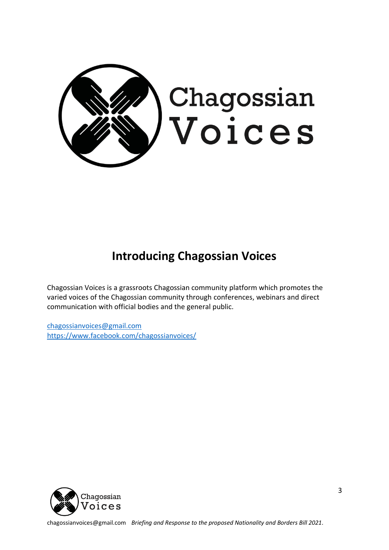

### **Introducing Chagossian Voices**

Chagossian Voices is a grassroots Chagossian community platform which promotes the varied voices of the Chagossian community through conferences, webinars and direct communication with official bodies and the general public.

[chagossianvoices@gmail.com](mailto:chagossianvoices@gmail.com) <https://www.facebook.com/chagossianvoices/>



chagossianvoices@gmail.com *Briefing and Response to the proposed Nationality and Borders Bill 2021.*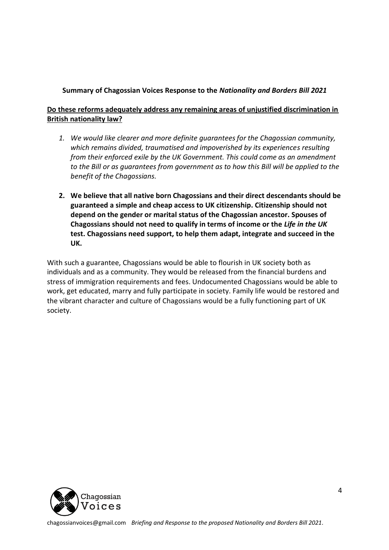#### **Summary of Chagossian Voices Response to the** *Nationality and Borders Bill 2021*

#### **Do these reforms adequately address any remaining areas of unjustified discrimination in British nationality law?**

- *1. We would like clearer and more definite guarantees for the Chagossian community, which remains divided, traumatised and impoverished by its experiences resulting from their enforced exile by the UK Government. This could come as an amendment to the Bill or as guarantees from government as to how this Bill will be applied to the benefit of the Chagossians.*
- **2. We believe that all native born Chagossians and their direct descendants should be guaranteed a simple and cheap access to UK citizenship. Citizenship should not depend on the gender or marital status of the Chagossian ancestor. Spouses of Chagossians should not need to qualify in terms of income or the** *Life in the UK* **test. Chagossians need support, to help them adapt, integrate and succeed in the UK.**

With such a guarantee, Chagossians would be able to flourish in UK society both as individuals and as a community. They would be released from the financial burdens and stress of immigration requirements and fees. Undocumented Chagossians would be able to work, get educated, marry and fully participate in society. Family life would be restored and the vibrant character and culture of Chagossians would be a fully functioning part of UK society.

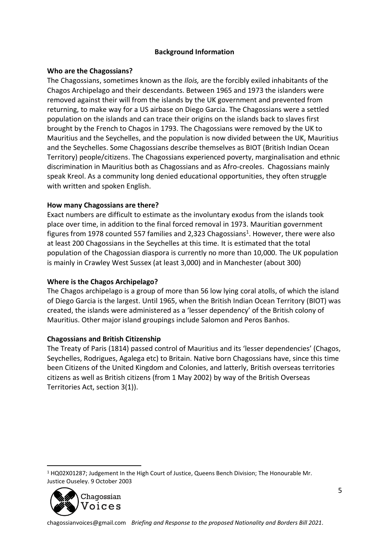#### **Background Information**

#### **Who are the Chagossians?**

The Chagossians, sometimes known as the *Ilois,* are the forcibly exiled inhabitants of the Chagos Archipelago and their descendants. Between 1965 and 1973 the islanders were removed against their will from the islands by the UK government and prevented from returning, to make way for a US airbase on Diego Garcia. The Chagossians were a settled population on the islands and can trace their origins on the islands back to slaves first brought by the French to Chagos in 1793. The Chagossians were removed by the UK to Mauritius and the Seychelles, and the population is now divided between the UK, Mauritius and the Seychelles. Some Chagossians describe themselves as BIOT (British Indian Ocean Territory) people/citizens. The Chagossians experienced poverty, marginalisation and ethnic discrimination in Mauritius both as Chagossians and as Afro-creoles. Chagossians mainly speak Kreol. As a community long denied educational opportunities, they often struggle with written and spoken English.

#### **How many Chagossians are there?**

Exact numbers are difficult to estimate as the involuntary exodus from the islands took place over time, in addition to the final forced removal in 1973. Mauritian government figures from 1978 counted 557 families and 2,323 Chagossians<sup>1</sup>. However, there were also at least 200 Chagossians in the Seychelles at this time. It is estimated that the total population of the Chagossian diaspora is currently no more than 10,000. The UK population is mainly in Crawley West Sussex (at least 3,000) and in Manchester (about 300)

#### **Where is the Chagos Archipelago?**

The Chagos archipelago is a group of more than 56 low lying coral atolls, of which the island of Diego Garcia is the largest. Until 1965, when the British Indian Ocean Territory (BIOT) was created, the islands were administered as a 'lesser dependency' of the British colony of Mauritius. Other major island groupings include Salomon and Peros Banhos.

#### **Chagossians and British Citizenship**

The Treaty of Paris (1814) passed control of Mauritius and its 'lesser dependencies' (Chagos, Seychelles, Rodrigues, Agalega etc) to Britain. Native born Chagossians have, since this time been Citizens of the United Kingdom and Colonies, and latterly, British overseas territories citizens as well as British citizens (from 1 May 2002) by way of the British Overseas Territories Act, section 3(1)).

<sup>1</sup> HQ02X01287; Judgement In the High Court of Justice, Queens Bench Division; The Honourable Mr. Justice Ouseley. 9 October 2003

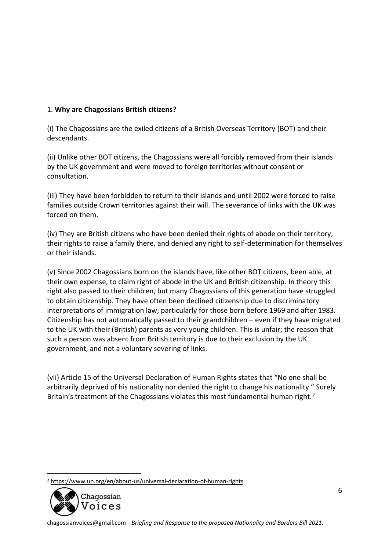#### 1. **Why are Chagossians British citizens?**

(i) The Chagossians are the exiled citizens of a British Overseas Territory (BOT) and their descendants.

(ii) Unlike other BOT citizens, the Chagossians were all forcibly removed from their islands by the UK government and were moved to foreign territories without consent or consultation.

(iii) They have been forbidden to return to their islands and until 2002 were forced to raise families outside Crown territories against their will. The severance of links with the UK was forced on them.

(iv) They are British citizens who have been denied their rights of abode on their territory, their rights to raise a family there, and denied any right to self-determination for themselves or their islands.

(v) Since 2002 Chagossians born on the islands have, like other BOT citizens, been able, at their own expense, to claim right of abode in the UK and British citizenship. In theory this right also passed to their children, but many Chagossians of this generation have struggled to obtain citizenship. They have often been declined citizenship due to discriminatory interpretations of immigration law, particularly for those born before 1969 and after 1983. Citizenship has not automatically passed to their grandchildren – even if they have migrated to the UK with their (British) parents as very young children. This is unfair; the reason that such a person was absent from British territory is due to their exclusion by the UK government, and not a voluntary severing of links.

(vii) Article 15 of the Universal Declaration of Human Rights states that "No one shall be arbitrarily deprived of his nationality nor denied the right to change his nationality." Surely Britain's treatment of the Chagossians violates this most fundamental human right.<sup>2</sup>

<sup>2</sup> <https://www.un.org/en/about-us/universal-declaration-of-human-rights>

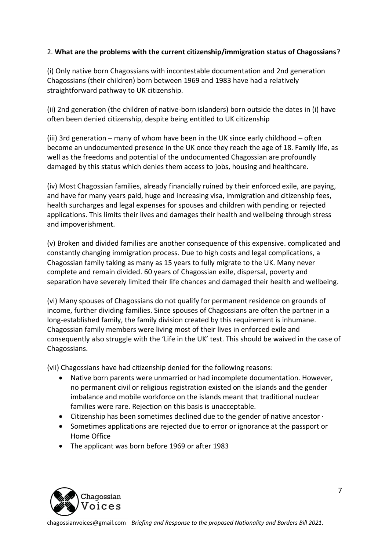#### 2. **What are the problems with the current citizenship/immigration status of Chagossians**?

(i) Only native born Chagossians with incontestable documentation and 2nd generation Chagossians (their children) born between 1969 and 1983 have had a relatively straightforward pathway to UK citizenship.

(ii) 2nd generation (the children of native-born islanders) born outside the dates in (i) have often been denied citizenship, despite being entitled to UK citizenship

(iii) 3rd generation – many of whom have been in the UK since early childhood – often become an undocumented presence in the UK once they reach the age of 18. Family life, as well as the freedoms and potential of the undocumented Chagossian are profoundly damaged by this status which denies them access to jobs, housing and healthcare.

(iv) Most Chagossian families, already financially ruined by their enforced exile, are paying, and have for many years paid, huge and increasing visa, immigration and citizenship fees, health surcharges and legal expenses for spouses and children with pending or rejected applications. This limits their lives and damages their health and wellbeing through stress and impoverishment.

(v) Broken and divided families are another consequence of this expensive. complicated and constantly changing immigration process. Due to high costs and legal complications, a Chagossian family taking as many as 15 years to fully migrate to the UK. Many never complete and remain divided. 60 years of Chagossian exile, dispersal, poverty and separation have severely limited their life chances and damaged their health and wellbeing.

(vi) Many spouses of Chagossians do not qualify for permanent residence on grounds of income, further dividing families. Since spouses of Chagossians are often the partner in a long-established family, the family division created by this requirement is inhumane. Chagossian family members were living most of their lives in enforced exile and consequently also struggle with the 'Life in the UK' test. This should be waived in the case of Chagossians.

(vii) Chagossians have had citizenship denied for the following reasons:

- Native born parents were unmarried or had incomplete documentation. However, no permanent civil or religious registration existed on the islands and the gender imbalance and mobile workforce on the islands meant that traditional nuclear families were rare. Rejection on this basis is unacceptable.
- Citizenship has been sometimes declined due to the gender of native ancestor  $\cdot$
- Sometimes applications are rejected due to error or ignorance at the passport or Home Office
- The applicant was born before 1969 or after 1983

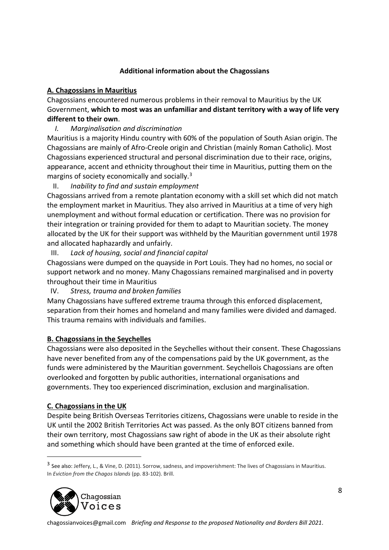#### **Additional information about the Chagossians**

#### **A. Chagossians in Mauritius**

Chagossians encountered numerous problems in their removal to Mauritius by the UK Government, **which to most was an unfamiliar and distant territory with a way of life very different to their own**.

*I. Marginalisation and discrimination*

Mauritius is a majority Hindu country with 60% of the population of South Asian origin. The Chagossians are mainly of Afro-Creole origin and Christian (mainly Roman Catholic). Most Chagossians experienced structural and personal discrimination due to their race, origins, appearance, accent and ethnicity throughout their time in Mauritius, putting them on the margins of society economically and socially.<sup>3</sup>

II. *Inability to find and sustain employment*

Chagossians arrived from a remote plantation economy with a skill set which did not match the employment market in Mauritius. They also arrived in Mauritius at a time of very high unemployment and without formal education or certification. There was no provision for their integration or training provided for them to adapt to Mauritian society. The money allocated by the UK for their support was withheld by the Mauritian government until 1978 and allocated haphazardly and unfairly.

III. *Lack of housing, social and financial capital*

Chagossians were dumped on the quayside in Port Louis. They had no homes, no social or support network and no money. Many Chagossians remained marginalised and in poverty throughout their time in Mauritius

IV. *Stress, trauma and broken families*

Many Chagossians have suffered extreme trauma through this enforced displacement, separation from their homes and homeland and many families were divided and damaged. This trauma remains with individuals and families.

#### **B. Chagossians in the Seychelles**

Chagossians were also deposited in the Seychelles without their consent. These Chagossians have never benefited from any of the compensations paid by the UK government, as the funds were administered by the Mauritian government. Seychellois Chagossians are often overlooked and forgotten by public authorities, international organisations and governments. They too experienced discrimination, exclusion and marginalisation.

#### **C. Chagossians in the UK**

Despite being British Overseas Territories citizens, Chagossians were unable to reside in the UK until the 2002 British Territories Act was passed. As the only BOT citizens banned from their own territory, most Chagossians saw right of abode in the UK as their absolute right and something which should have been granted at the time of enforced exile.

<sup>&</sup>lt;sup>3</sup> See also: Jeffery, L., & Vine, D. (2011). Sorrow, sadness, and impoverishment: The lives of Chagossians in Mauritius. In *Eviction from the Chagos Islands* (pp. 83-102). Brill.

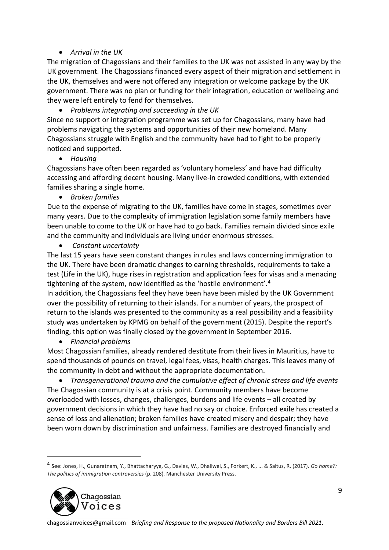#### • *Arrival in the UK*

The migration of Chagossians and their families to the UK was not assisted in any way by the UK government. The Chagossians financed every aspect of their migration and settlement in the UK, themselves and were not offered any integration or welcome package by the UK government. There was no plan or funding for their integration, education or wellbeing and they were left entirely to fend for themselves.

• *Problems integrating and succeeding in the UK*

Since no support or integration programme was set up for Chagossians, many have had problems navigating the systems and opportunities of their new homeland. Many Chagossians struggle with English and the community have had to fight to be properly noticed and supported.

• *Housing*

Chagossians have often been regarded as 'voluntary homeless' and have had difficulty accessing and affording decent housing. Many live-in crowded conditions, with extended families sharing a single home.

• *Broken families*

Due to the expense of migrating to the UK, families have come in stages, sometimes over many years. Due to the complexity of immigration legislation some family members have been unable to come to the UK or have had to go back. Families remain divided since exile and the community and individuals are living under enormous stresses.

• *Constant uncertainty*

The last 15 years have seen constant changes in rules and laws concerning immigration to the UK. There have been dramatic changes to earning thresholds, requirements to take a test (Life in the UK), huge rises in registration and application fees for visas and a menacing tightening of the system, now identified as the 'hostile environment'.<sup>4</sup>

In addition, the Chagossians feel they have been have been misled by the UK Government over the possibility of returning to their islands. For a number of years, the prospect of return to the islands was presented to the community as a real possibility and a feasibility study was undertaken by KPMG on behalf of the government (2015). Despite the report's finding, this option was finally closed by the government in September 2016.

• *Financial problems*

Most Chagossian families, already rendered destitute from their lives in Mauritius, have to spend thousands of pounds on travel, legal fees, visas, health charges. This leaves many of the community in debt and without the appropriate documentation.

• *Transgenerational trauma and the cumulative effect of chronic stress and life events* The Chagossian community is at a crisis point. Community members have become overloaded with losses, changes, challenges, burdens and life events – all created by government decisions in which they have had no say or choice. Enforced exile has created a sense of loss and alienation; broken families have created misery and despair; they have been worn down by discrimination and unfairness. Families are destroyed financially and

<sup>4</sup> See: Jones, H., Gunaratnam, Y., Bhattacharyya, G., Davies, W., Dhaliwal, S., Forkert, K., ... & Saltus, R. (2017). *Go home?: The politics of immigration controversies* (p. 208). Manchester University Press.

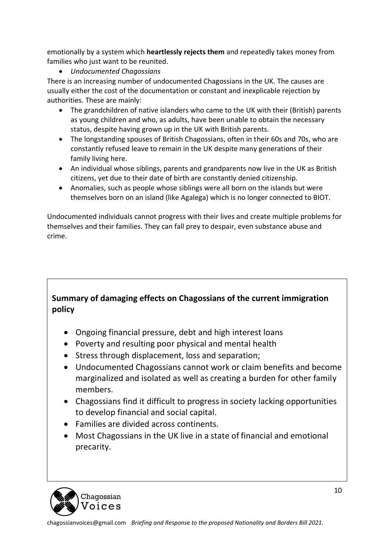emotionally by a system which **heartlessly rejects them** and repeatedly takes money from families who just want to be reunited.

• *Undocumented Chagossians*

There is an increasing number of undocumented Chagossians in the UK. The causes are usually either the cost of the documentation or constant and inexplicable rejection by authorities. These are mainly:

- The grandchildren of native islanders who came to the UK with their (British) parents as young children and who, as adults, have been unable to obtain the necessary status, despite having grown up in the UK with British parents.
- The longstanding spouses of British Chagossians, often in their 60s and 70s, who are constantly refused leave to remain in the UK despite many generations of their family living here.
- An individual whose siblings, parents and grandparents now live in the UK as British citizens, yet due to their date of birth are constantly denied citizenship.
- Anomalies, such as people whose siblings were all born on the islands but were themselves born on an island (like Agalega) which is no longer connected to BIOT.

Undocumented individuals cannot progress with their lives and create multiple problems for themselves and their families. They can fall prey to despair, even substance abuse and crime.

#### **Summary of damaging effects on Chagossians of the current immigration policy**

- Ongoing financial pressure, debt and high interest loans
- Poverty and resulting poor physical and mental health
- Stress through displacement, loss and separation;
- Undocumented Chagossians cannot work or claim benefits and become marginalized and isolated as well as creating a burden for other family members.
- Chagossians find it difficult to progress in society lacking opportunities to develop financial and social capital.
- Families are divided across continents.
- Most Chagossians in the UK live in a state of financial and emotional precarity.

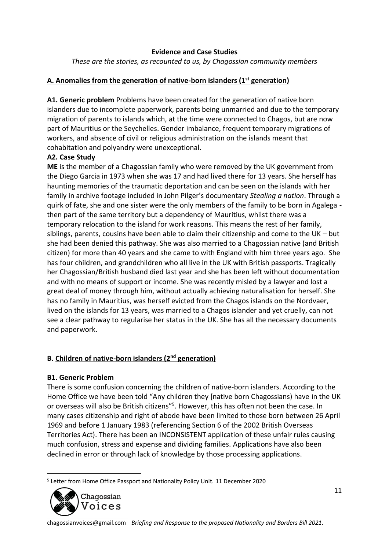#### **Evidence and Case Studies**

*These are the stories, as recounted to us, by Chagossian community members*

#### **A. Anomalies from the generation of native-born islanders (1st generation)**

**A1. Generic problem** Problems have been created for the generation of native born islanders due to incomplete paperwork, parents being unmarried and due to the temporary migration of parents to islands which, at the time were connected to Chagos, but are now part of Mauritius or the Seychelles. Gender imbalance, frequent temporary migrations of workers, and absence of civil or religious administration on the islands meant that cohabitation and polyandry were unexceptional.

#### **A2. Case Study**

**ME** is the member of a Chagossian family who were removed by the UK government from the Diego Garcia in 1973 when she was 17 and had lived there for 13 years. She herself has haunting memories of the traumatic deportation and can be seen on the islands with her family in archive footage included in John Pilger's documentary *Stealing a nation*. Through a quirk of fate, she and one sister were the only members of the family to be born in Agalega then part of the same territory but a dependency of Mauritius, whilst there was a temporary relocation to the island for work reasons. This means the rest of her family, siblings, parents, cousins have been able to claim their citizenship and come to the UK – but she had been denied this pathway. She was also married to a Chagossian native (and British citizen) for more than 40 years and she came to with England with him three years ago. She has four children, and grandchildren who all live in the UK with British passports. Tragically her Chagossian/British husband died last year and she has been left without documentation and with no means of support or income. She was recently misled by a lawyer and lost a great deal of money through him, without actually achieving naturalisation for herself. She has no family in Mauritius, was herself evicted from the Chagos islands on the Nordvaer, lived on the islands for 13 years, was married to a Chagos islander and yet cruelly, can not see a clear pathway to regularise her status in the UK. She has all the necessary documents and paperwork.

#### **B. Children of native-born islanders (2nd generation)**

#### **B1. Generic Problem**

There is some confusion concerning the children of native-born islanders. According to the Home Office we have been told "Any children they [native born Chagossians) have in the UK or overseas will also be British citizens"<sup>5</sup>. However, this has often not been the case. In many cases citizenship and right of abode have been limited to those born between 26 April 1969 and before 1 January 1983 (referencing Section 6 of the 2002 British Overseas Territories Act). There has been an INCONSISTENT application of these unfair rules causing much confusion, stress and expense and dividing families. Applications have also been declined in error or through lack of knowledge by those processing applications.

<sup>5</sup> Letter from Home Office Passport and Nationality Policy Unit. 11 December 2020

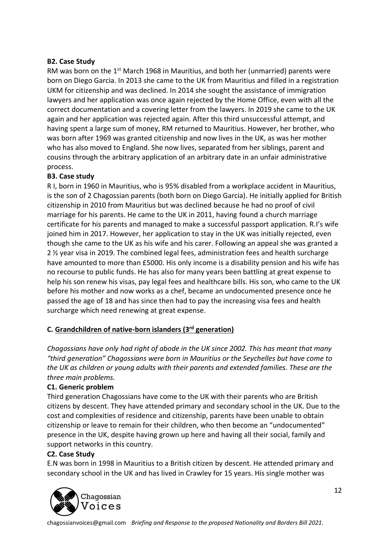#### **B2. Case Study**

RM was born on the  $1<sup>st</sup>$  March 1968 in Mauritius, and both her (unmarried) parents were born on Diego Garcia. In 2013 she came to the UK from Mauritius and filled in a registration UKM for citizenship and was declined. In 2014 she sought the assistance of immigration lawyers and her application was once again rejected by the Home Office, even with all the correct documentation and a covering letter from the lawyers. In 2019 she came to the UK again and her application was rejected again. After this third unsuccessful attempt, and having spent a large sum of money, RM returned to Mauritius. However, her brother, who was born after 1969 was granted citizenship and now lives in the UK, as was her mother who has also moved to England. She now lives, separated from her siblings, parent and cousins through the arbitrary application of an arbitrary date in an unfair administrative process.

#### **B3. Case study**

R I, born in 1960 in Mauritius, who is 95% disabled from a workplace accident in Mauritius, is the son of 2 Chagossian parents (both born on Diego Garcia). He initially applied for British citizenship in 2010 from Mauritius but was declined because he had no proof of civil marriage for his parents. He came to the UK in 2011, having found a church marriage certificate for his parents and managed to make a successful passport application. R.I's wife joined him in 2017. However, her application to stay in the UK was initially rejected, even though she came to the UK as his wife and his carer. Following an appeal she was granted a 2 ½ year visa in 2019. The combined legal fees, administration fees and health surcharge have amounted to more than £5000. His only income is a disability pension and his wife has no recourse to public funds. He has also for many years been battling at great expense to help his son renew his visas, pay legal fees and healthcare bills. His son, who came to the UK before his mother and now works as a chef, became an undocumented presence once he passed the age of 18 and has since then had to pay the increasing visa fees and health surcharge which need renewing at great expense.

#### **C. Grandchildren of native-born islanders (3rd generation)**

*Chagossians have only had right of abode in the UK since 2002. This has meant that many "third generation" Chagossians were born in Mauritius or the Seychelles but have come to the UK as children or young adults with their parents and extended families. These are the three main problems.*

#### **C1. Generic problem**

Third generation Chagossians have come to the UK with their parents who are British citizens by descent. They have attended primary and secondary school in the UK. Due to the cost and complexities of residence and citizenship, parents have been unable to obtain citizenship or leave to remain for their children, who then become an "undocumented" presence in the UK, despite having grown up here and having all their social, family and support networks in this country.

#### **C2. Case Study**

E.N was born in 1998 in Mauritius to a British citizen by descent. He attended primary and secondary school in the UK and has lived in Crawley for 15 years. His single mother was

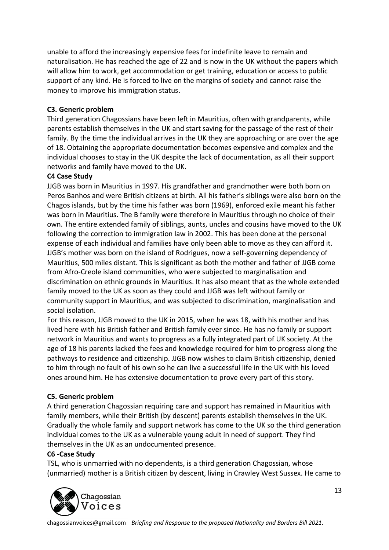unable to afford the increasingly expensive fees for indefinite leave to remain and naturalisation. He has reached the age of 22 and is now in the UK without the papers which will allow him to work, get accommodation or get training, education or access to public support of any kind. He is forced to live on the margins of society and cannot raise the money to improve his immigration status.

#### **C3. Generic problem**

Third generation Chagossians have been left in Mauritius, often with grandparents, while parents establish themselves in the UK and start saving for the passage of the rest of their family. By the time the individual arrives in the UK they are approaching or are over the age of 18. Obtaining the appropriate documentation becomes expensive and complex and the individual chooses to stay in the UK despite the lack of documentation, as all their support networks and family have moved to the UK.

#### **C4 Case Study**

JJGB was born in Mauritius in 1997. His grandfather and grandmother were both born on Peros Banhos and were British citizens at birth. All his father's siblings were also born on the Chagos islands, but by the time his father was born (1969), enforced exile meant his father was born in Mauritius. The B family were therefore in Mauritius through no choice of their own. The entire extended family of siblings, aunts, uncles and cousins have moved to the UK following the correction to immigration law in 2002. This has been done at the personal expense of each individual and families have only been able to move as they can afford it. JJGB's mother was born on the island of Rodrigues, now a self-governing dependency of Mauritius, 500 miles distant. This is significant as both the mother and father of JJGB come from Afro-Creole island communities, who were subjected to marginalisation and discrimination on ethnic grounds in Mauritius. It has also meant that as the whole extended family moved to the UK as soon as they could and JJGB was left without family or community support in Mauritius, and was subjected to discrimination, marginalisation and social isolation.

For this reason, JJGB moved to the UK in 2015, when he was 18, with his mother and has lived here with his British father and British family ever since. He has no family or support network in Mauritius and wants to progress as a fully integrated part of UK society. At the age of 18 his parents lacked the fees and knowledge required for him to progress along the pathways to residence and citizenship. JJGB now wishes to claim British citizenship, denied to him through no fault of his own so he can live a successful life in the UK with his loved ones around him. He has extensive documentation to prove every part of this story.

#### **C5. Generic problem**

A third generation Chagossian requiring care and support has remained in Mauritius with family members, while their British (by descent) parents establish themselves in the UK. Gradually the whole family and support network has come to the UK so the third generation individual comes to the UK as a vulnerable young adult in need of support. They find themselves in the UK as an undocumented presence.

#### **C6 -Case Study**

TSL, who is unmarried with no dependents, is a third generation Chagossian, whose (unmarried) mother is a British citizen by descent, living in Crawley West Sussex. He came to

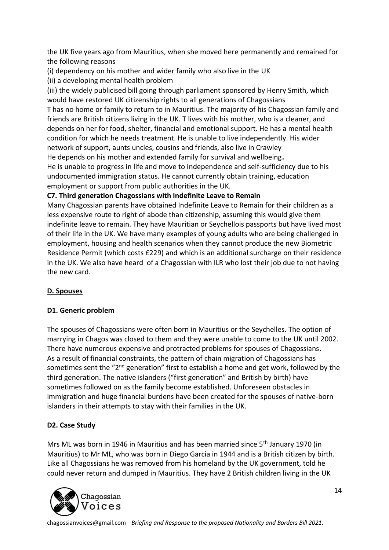the UK five years ago from Mauritius, when she moved here permanently and remained for the following reasons

(i) dependency on his mother and wider family who also live in the UK

(ii) a developing mental health problem

(iii) the widely publicised bill going through parliament sponsored by Henry Smith, which would have restored UK citizenship rights to all generations of Chagossians

T has no home or family to return to in Mauritius. The majority of his Chagossian family and friends are British citizens living in the UK. T lives with his mother, who is a cleaner, and depends on her for food, shelter, financial and emotional support. He has a mental health condition for which he needs treatment. He is unable to live independently. His wider network of support, aunts uncles, cousins and friends, also live in Crawley

He depends on his mother and extended family for survival and wellbeing**.**

He is unable to progress in life and move to independence and self-sufficiency due to his undocumented immigration status. He cannot currently obtain training, education employment or support from public authorities in the UK.

#### **C7. Third generation Chagossians with Indefinite Leave to Remain**

Many Chagossian parents have obtained Indefinite Leave to Remain for their children as a less expensive route to right of abode than citizenship, assuming this would give them indefinite leave to remain. They have Mauritian or Seychellois passports but have lived most of their life in the UK. We have many examples of young adults who are being challenged in employment, housing and health scenarios when they cannot produce the new Biometric Residence Permit (which costs £229) and which is an additional surcharge on their residence in the UK. We also have heard of a Chagossian with ILR who lost their job due to not having the new card.

#### **D. Spouses**

#### **D1. Generic problem**

The spouses of Chagossians were often born in Mauritius or the Seychelles. The option of marrying in Chagos was closed to them and they were unable to come to the UK until 2002. There have numerous expensive and protracted problems for spouses of Chagossians. As a result of financial constraints, the pattern of chain migration of Chagossians has sometimes sent the "2<sup>nd</sup> generation" first to establish a home and get work, followed by the third generation. The native islanders ("first generation" and British by birth) have sometimes followed on as the family become established. Unforeseen obstacles in immigration and huge financial burdens have been created for the spouses of native-born islanders in their attempts to stay with their families in the UK.

#### **D2. Case Study**

Mrs ML was born in 1946 in Mauritius and has been married since 5<sup>th</sup> January 1970 (in Mauritius) to Mr ML, who was born in Diego Garcia in 1944 and is a British citizen by birth. Like all Chagossians he was removed from his homeland by the UK government, told he could never return and dumped in Mauritius. They have 2 British children living in the UK